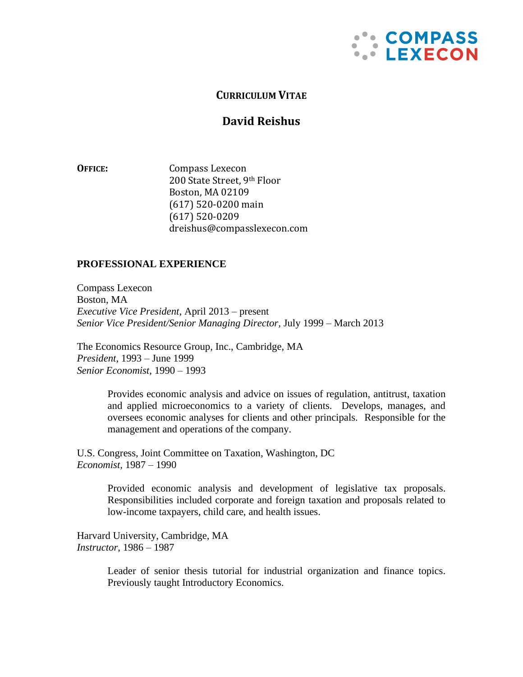

# **CURRICULUM VITAE**

# **David Reishus**

**OFFICE:** Compass Lexecon 200 State Street, 9th Floor Boston, MA 02109 (617) 520-0200 main (617) 520-0209 dreishus@compasslexecon.com

### **PROFESSIONAL EXPERIENCE**

Compass Lexecon Boston, MA *Executive Vice President,* April 2013 – present *Senior Vice President/Senior Managing Director,* July 1999 – March 2013

The Economics Resource Group, Inc., Cambridge, MA *President,* 1993 – June 1999 *Senior Economist,* 1990 – 1993

> Provides economic analysis and advice on issues of regulation, antitrust, taxation and applied microeconomics to a variety of clients. Develops, manages, and oversees economic analyses for clients and other principals. Responsible for the management and operations of the company.

U.S. Congress, Joint Committee on Taxation, Washington, DC *Economist,* 1987 – 1990

> Provided economic analysis and development of legislative tax proposals. Responsibilities included corporate and foreign taxation and proposals related to low-income taxpayers, child care, and health issues.

Harvard University, Cambridge, MA *Instructor,* 1986 – 1987

> Leader of senior thesis tutorial for industrial organization and finance topics. Previously taught Introductory Economics.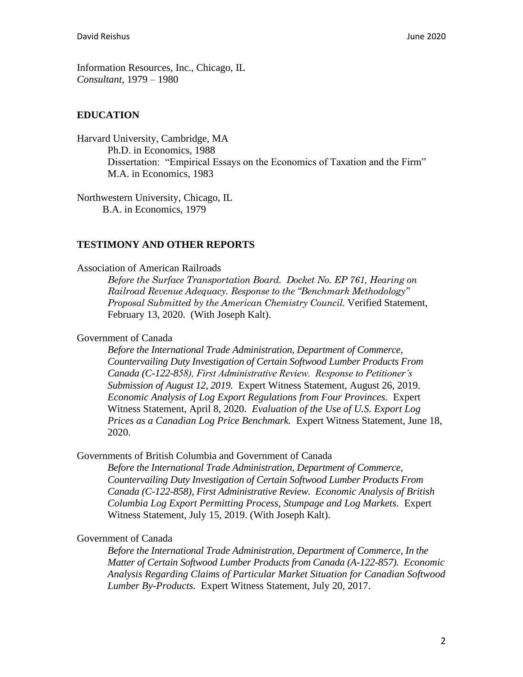Information Resources, Inc., Chicago, IL *Consultant*, 1979 – 1980

#### **EDUCATION**

Harvard University, Cambridge, MA Ph.D. in Economics, 1988 Dissertation: "Empirical Essays on the Economics of Taxation and the Firm" M.A. in Economics, 1983

Northwestern University, Chicago, IL B.A. in Economics, 1979

#### **TESTIMONY AND OTHER REPORTS**

Association of American Railroads

*Before the Surface Transportation Board. Docket No. EP 761, Hearing on Railroad Revenue Adequacy. Response to the "Benchmark Methodology" Proposal Submitted by the American Chemistry Council.* Verified Statement, February 13, 2020. (With Joseph Kalt).

## Government of Canada

*Before the International Trade Administration, Department of Commerce*, *Countervailing Duty Investigation of Certain Softwood Lumber Products From Canada (C-122-858), First Administrative Review. Response to Petitioner's Submission of August 12, 2019.* Expert Witness Statement, August 26, 2019. *Economic Analysis of Log Export Regulations from Four Provinces.* Expert Witness Statement, April 8, 2020. *Evaluation of the Use of U.S. Export Log Prices as a Canadian Log Price Benchmark.* Expert Witness Statement, June 18, 2020.

Governments of British Columbia and Government of Canada

*Before the International Trade Administration, Department of Commerce*, *Countervailing Duty Investigation of Certain Softwood Lumber Products From Canada (C-122-858), First Administrative Review. Economic Analysis of British Columbia Log Export Permitting Process, Stumpage and Log Markets.* Expert Witness Statement, July 15, 2019. (With Joseph Kalt).

#### Government of Canada

*Before the International Trade Administration, Department of Commerce*, *In the Matter of Certain Softwood Lumber Products from Canada (A-122-857). Economic Analysis Regarding Claims of Particular Market Situation for Canadian Softwood Lumber By-Products.* Expert Witness Statement, July 20, 2017.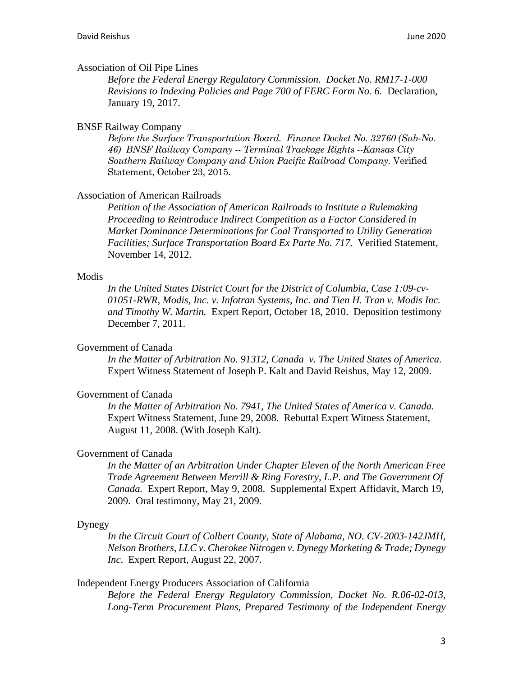#### Association of Oil Pipe Lines

*Before the Federal Energy Regulatory Commission. Docket No. RM17-1-000 Revisions to Indexing Policies and Page 700 of FERC Form No. 6.* Declaration, January 19, 2017.

#### BNSF Railway Company

*Before the Surface Transportation Board. Finance Docket No. 32760 (Sub-No. 46) BNSF Railway Company -- Terminal Trackage Rights --Kansas City Southern Railway Company and Union Pacific Railroad Company.* Verified Statement, October 23, 2015.

#### Association of American Railroads

*Petition of the Association of American Railroads to Institute a Rulemaking Proceeding to Reintroduce Indirect Competition as a Factor Considered in Market Dominance Determinations for Coal Transported to Utility Generation Facilities; Surface Transportation Board Ex Parte No. 717.* Verified Statement, November 14, 2012.

#### Modis

*In the United States District Court for the District of Columbia, Case 1:09-cv-01051-RWR, Modis, Inc. v. Infotran Systems, Inc. and Tien H. Tran v. Modis Inc. and Timothy W. Martin.* Expert Report, October 18, 2010. Deposition testimony December 7, 2011.

### Government of Canada

*In the Matter of Arbitration No. 91312, Canada v. The United States of America.* Expert Witness Statement of Joseph P. Kalt and David Reishus, May 12, 2009.

#### Government of Canada

*In the Matter of Arbitration No. 7941, The United States of America v. Canada.* Expert Witness Statement, June 29, 2008. Rebuttal Expert Witness Statement, August 11, 2008. (With Joseph Kalt).

#### Government of Canada

*In the Matter of an Arbitration Under Chapter Eleven of the North American Free Trade Agreement Between Merrill & Ring Forestry, L.P. and The Government Of Canada.* Expert Report, May 9, 2008. Supplemental Expert Affidavit, March 19, 2009. Oral testimony, May 21, 2009.

#### Dynegy

*In the Circuit Court of Colbert County, State of Alabama, NO. CV-2003-142JMH, Nelson Brothers, LLC v. Cherokee Nitrogen v. Dynegy Marketing & Trade; Dynegy Inc*. Expert Report, August 22, 2007.

## Independent Energy Producers Association of California

*Before the Federal Energy Regulatory Commission, Docket No. R.06-02-013, Long-Term Procurement Plans, Prepared Testimony of the Independent Energy*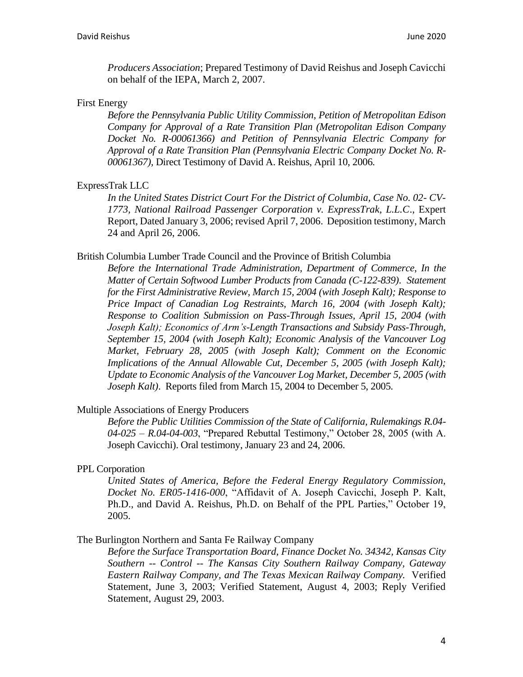*Producers Association*; Prepared Testimony of David Reishus and Joseph Cavicchi on behalf of the IEPA, March 2, 2007.

### First Energy

*Before the Pennsylvania Public Utility Commission, Petition of Metropolitan Edison Company for Approval of a Rate Transition Plan (Metropolitan Edison Company Docket No. R-00061366) and Petition of Pennsylvania Electric Company for Approval of a Rate Transition Plan (Pennsylvania Electric Company Docket No. R-00061367),* Direct Testimony of David A. Reishus, April 10, 2006.

### ExpressTrak LLC

*In the United States District Court For the District of Columbia, Case No. 02- CV-1773, National Railroad Passenger Corporation v. ExpressTrak, L.L.C*., Expert Report, Dated January 3, 2006; revised April 7, 2006. Deposition testimony, March 24 and April 26, 2006.

### British Columbia Lumber Trade Council and the Province of British Columbia

*Before the International Trade Administration, Department of Commerce*, *In the Matter of Certain Softwood Lumber Products from Canada (C-122-839)*. *Statement for the First Administrative Review, March 15, 2004 (with Joseph Kalt); Response to Price Impact of Canadian Log Restraints, March 16, 2004 (with Joseph Kalt); Response to Coalition Submission on Pass-Through Issues, April 15, 2004 (with Joseph Kalt); Economics of Arm's-Length Transactions and Subsidy Pass-Through, September 15, 2004 (with Joseph Kalt); Economic Analysis of the Vancouver Log Market, February 28, 2005 (with Joseph Kalt); Comment on the Economic Implications of the Annual Allowable Cut, December 5, 2005 (with Joseph Kalt); Update to Economic Analysis of the Vancouver Log Market, December 5, 2005 (with Joseph Kalt)*. Reports filed from March 15, 2004 to December 5, 2005.

## Multiple Associations of Energy Producers

*Before the Public Utilities Commission of the State of California, Rulemakings R.04- 04-025 – R.04-04-003*, "Prepared Rebuttal Testimony," October 28, 2005 (with A. Joseph Cavicchi). Oral testimony, January 23 and 24, 2006.

#### PPL Corporation

*United States of America, Before the Federal Energy Regulatory Commission, Docket No. ER05-1416-000*, "Affidavit of A. Joseph Cavicchi, Joseph P. Kalt, Ph.D., and David A. Reishus, Ph.D. on Behalf of the PPL Parties," October 19, 2005.

#### The Burlington Northern and Santa Fe Railway Company

*Before the Surface Transportation Board, Finance Docket No. 34342, Kansas City Southern -- Control -- The Kansas City Southern Railway Company, Gateway Eastern Railway Company, and The Texas Mexican Railway Company.* Verified Statement, June 3, 2003; Verified Statement, August 4, 2003; Reply Verified Statement, August 29, 2003.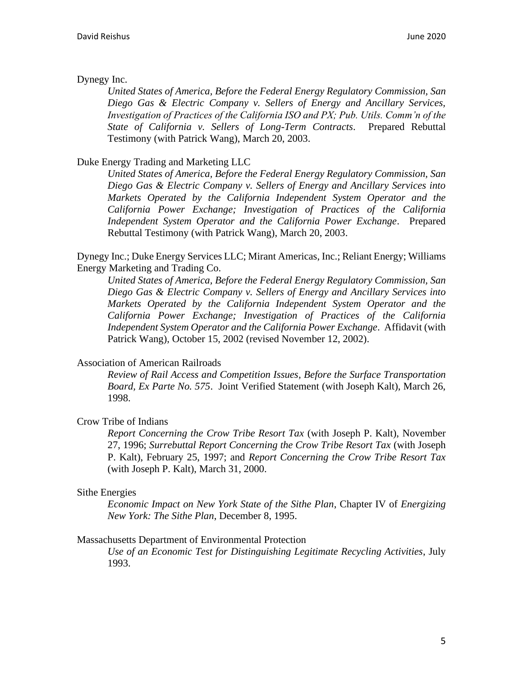## Dynegy Inc.

*United States of America, Before the Federal Energy Regulatory Commission, San Diego Gas & Electric Company v. Sellers of Energy and Ancillary Services, Investigation of Practices of the California ISO and PX; Pub. Utils. Comm'n of the State of California v. Sellers of Long-Term Contracts*. Prepared Rebuttal Testimony (with Patrick Wang), March 20, 2003.

### Duke Energy Trading and Marketing LLC

*United States of America, Before the Federal Energy Regulatory Commission, San Diego Gas & Electric Company v. Sellers of Energy and Ancillary Services into Markets Operated by the California Independent System Operator and the California Power Exchange; Investigation of Practices of the California Independent System Operator and the California Power Exchange*. Prepared Rebuttal Testimony (with Patrick Wang), March 20, 2003.

Dynegy Inc.; Duke Energy Services LLC; Mirant Americas, Inc.; Reliant Energy; Williams Energy Marketing and Trading Co.

*United States of America, Before the Federal Energy Regulatory Commission, San Diego Gas & Electric Company v. Sellers of Energy and Ancillary Services into Markets Operated by the California Independent System Operator and the California Power Exchange; Investigation of Practices of the California Independent System Operator and the California Power Exchange*. Affidavit (with Patrick Wang), October 15, 2002 (revised November 12, 2002).

#### Association of American Railroads

*Review of Rail Access and Competition Issues, Before the Surface Transportation Board, Ex Parte No. 575*. Joint Verified Statement (with Joseph Kalt), March 26, 1998.

## Crow Tribe of Indians

*Report Concerning the Crow Tribe Resort Tax* (with Joseph P. Kalt), November 27, 1996; *Surrebuttal Report Concerning the Crow Tribe Resort Tax* (with Joseph P. Kalt), February 25, 1997; and *Report Concerning the Crow Tribe Resort Tax*  (with Joseph P. Kalt), March 31, 2000.

#### Sithe Energies

*Economic Impact on New York State of the Sithe Plan*, Chapter IV of *Energizing New York: The Sithe Plan*, December 8, 1995.

#### Massachusetts Department of Environmental Protection

*Use of an Economic Test for Distinguishing Legitimate Recycling Activities*, July 1993.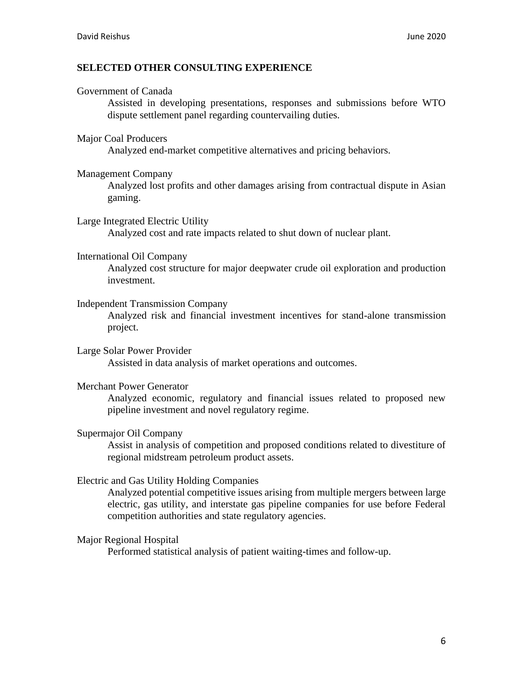## **SELECTED OTHER CONSULTING EXPERIENCE**

### Government of Canada

Assisted in developing presentations, responses and submissions before WTO dispute settlement panel regarding countervailing duties.

### Major Coal Producers

Analyzed end-market competitive alternatives and pricing behaviors.

### Management Company

Analyzed lost profits and other damages arising from contractual dispute in Asian gaming.

### Large Integrated Electric Utility

Analyzed cost and rate impacts related to shut down of nuclear plant.

### International Oil Company

Analyzed cost structure for major deepwater crude oil exploration and production investment.

### Independent Transmission Company

Analyzed risk and financial investment incentives for stand-alone transmission project.

#### Large Solar Power Provider Assisted in data analysis of market operations and outcomes.

## Merchant Power Generator

Analyzed economic, regulatory and financial issues related to proposed new pipeline investment and novel regulatory regime.

## Supermajor Oil Company

Assist in analysis of competition and proposed conditions related to divestiture of regional midstream petroleum product assets.

## Electric and Gas Utility Holding Companies

Analyzed potential competitive issues arising from multiple mergers between large electric, gas utility, and interstate gas pipeline companies for use before Federal competition authorities and state regulatory agencies.

## Major Regional Hospital

Performed statistical analysis of patient waiting-times and follow-up.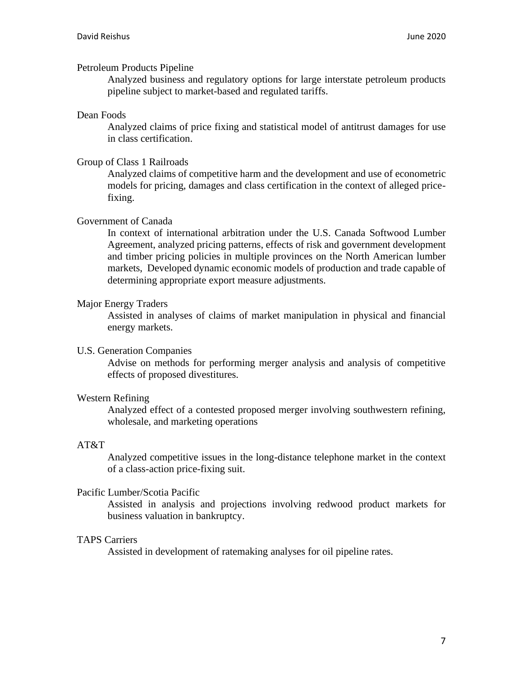### Petroleum Products Pipeline

Analyzed business and regulatory options for large interstate petroleum products pipeline subject to market-based and regulated tariffs.

### Dean Foods

Analyzed claims of price fixing and statistical model of antitrust damages for use in class certification.

### Group of Class 1 Railroads

Analyzed claims of competitive harm and the development and use of econometric models for pricing, damages and class certification in the context of alleged pricefixing.

### Government of Canada

In context of international arbitration under the U.S. Canada Softwood Lumber Agreement, analyzed pricing patterns, effects of risk and government development and timber pricing policies in multiple provinces on the North American lumber markets, Developed dynamic economic models of production and trade capable of determining appropriate export measure adjustments.

### Major Energy Traders

Assisted in analyses of claims of market manipulation in physical and financial energy markets.

#### U.S. Generation Companies

Advise on methods for performing merger analysis and analysis of competitive effects of proposed divestitures.

#### Western Refining

Analyzed effect of a contested proposed merger involving southwestern refining, wholesale, and marketing operations

## AT&T

Analyzed competitive issues in the long-distance telephone market in the context of a class-action price-fixing suit.

#### Pacific Lumber/Scotia Pacific

Assisted in analysis and projections involving redwood product markets for business valuation in bankruptcy.

#### TAPS Carriers

Assisted in development of ratemaking analyses for oil pipeline rates.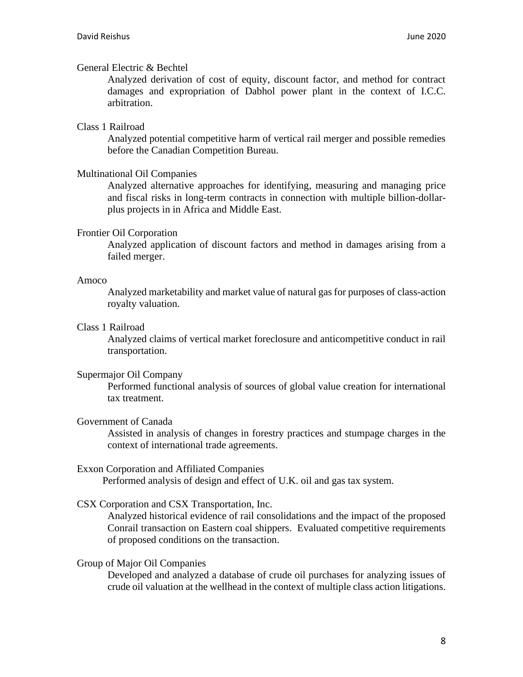## General Electric & Bechtel

Analyzed derivation of cost of equity, discount factor, and method for contract damages and expropriation of Dabhol power plant in the context of I.C.C. arbitration.

## Class 1 Railroad

Analyzed potential competitive harm of vertical rail merger and possible remedies before the Canadian Competition Bureau.

## Multinational Oil Companies

Analyzed alternative approaches for identifying, measuring and managing price and fiscal risks in long-term contracts in connection with multiple billion-dollarplus projects in in Africa and Middle East.

## Frontier Oil Corporation

Analyzed application of discount factors and method in damages arising from a failed merger.

### Amoco

Analyzed marketability and market value of natural gas for purposes of class-action royalty valuation.

## Class 1 Railroad

Analyzed claims of vertical market foreclosure and anticompetitive conduct in rail transportation.

## Supermajor Oil Company

Performed functional analysis of sources of global value creation for international tax treatment.

## Government of Canada

Assisted in analysis of changes in forestry practices and stumpage charges in the context of international trade agreements.

## Exxon Corporation and Affiliated Companies

Performed analysis of design and effect of U.K. oil and gas tax system.

## CSX Corporation and CSX Transportation, Inc.

Analyzed historical evidence of rail consolidations and the impact of the proposed Conrail transaction on Eastern coal shippers. Evaluated competitive requirements of proposed conditions on the transaction.

## Group of Major Oil Companies

Developed and analyzed a database of crude oil purchases for analyzing issues of crude oil valuation at the wellhead in the context of multiple class action litigations.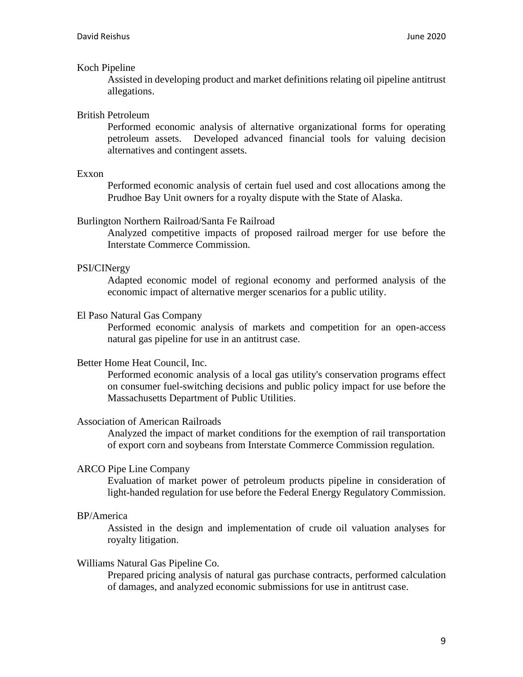### Koch Pipeline

Assisted in developing product and market definitions relating oil pipeline antitrust allegations.

## British Petroleum

Performed economic analysis of alternative organizational forms for operating petroleum assets. Developed advanced financial tools for valuing decision alternatives and contingent assets.

#### Exxon

Performed economic analysis of certain fuel used and cost allocations among the Prudhoe Bay Unit owners for a royalty dispute with the State of Alaska.

### Burlington Northern Railroad/Santa Fe Railroad

Analyzed competitive impacts of proposed railroad merger for use before the Interstate Commerce Commission.

### PSI/CINergy

Adapted economic model of regional economy and performed analysis of the economic impact of alternative merger scenarios for a public utility.

## El Paso Natural Gas Company

Performed economic analysis of markets and competition for an open-access natural gas pipeline for use in an antitrust case.

#### Better Home Heat Council, Inc.

Performed economic analysis of a local gas utility's conservation programs effect on consumer fuel-switching decisions and public policy impact for use before the Massachusetts Department of Public Utilities.

### Association of American Railroads

Analyzed the impact of market conditions for the exemption of rail transportation of export corn and soybeans from Interstate Commerce Commission regulation.

## ARCO Pipe Line Company

Evaluation of market power of petroleum products pipeline in consideration of light-handed regulation for use before the Federal Energy Regulatory Commission.

#### BP/America

Assisted in the design and implementation of crude oil valuation analyses for royalty litigation.

#### Williams Natural Gas Pipeline Co.

Prepared pricing analysis of natural gas purchase contracts, performed calculation of damages, and analyzed economic submissions for use in antitrust case.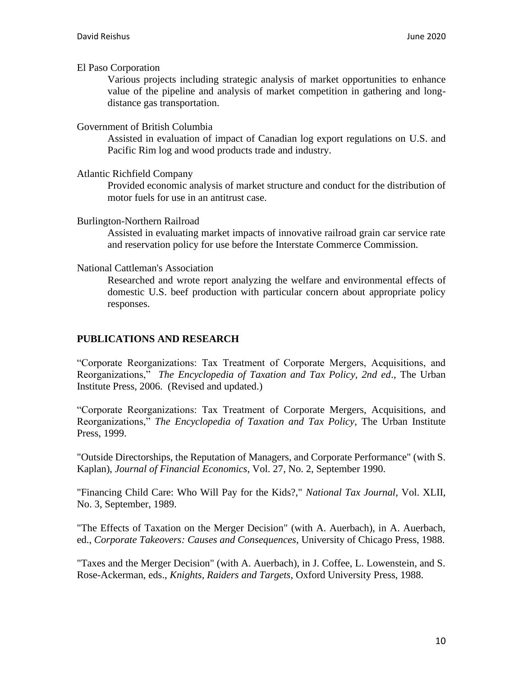### El Paso Corporation

Various projects including strategic analysis of market opportunities to enhance value of the pipeline and analysis of market competition in gathering and longdistance gas transportation.

### Government of British Columbia

Assisted in evaluation of impact of Canadian log export regulations on U.S. and Pacific Rim log and wood products trade and industry.

### Atlantic Richfield Company

Provided economic analysis of market structure and conduct for the distribution of motor fuels for use in an antitrust case.

### Burlington-Northern Railroad

Assisted in evaluating market impacts of innovative railroad grain car service rate and reservation policy for use before the Interstate Commerce Commission.

### National Cattleman's Association

Researched and wrote report analyzing the welfare and environmental effects of domestic U.S. beef production with particular concern about appropriate policy responses.

## **PUBLICATIONS AND RESEARCH**

"Corporate Reorganizations: Tax Treatment of Corporate Mergers, Acquisitions, and Reorganizations," *The Encyclopedia of Taxation and Tax Policy, 2nd ed*., The Urban Institute Press, 2006. (Revised and updated.)

"Corporate Reorganizations: Tax Treatment of Corporate Mergers, Acquisitions, and Reorganizations," *The Encyclopedia of Taxation and Tax Policy*, The Urban Institute Press, 1999.

"Outside Directorships, the Reputation of Managers, and Corporate Performance" (with S. Kaplan), *Journal of Financial Economics*, Vol. 27, No. 2, September 1990.

"Financing Child Care: Who Will Pay for the Kids?," *National Tax Journal*, Vol. XLII, No. 3, September, 1989.

"The Effects of Taxation on the Merger Decision" (with A. Auerbach), in A. Auerbach, ed., *Corporate Takeovers: Causes and Consequences*, University of Chicago Press, 1988.

"Taxes and the Merger Decision" (with A. Auerbach), in J. Coffee, L. Lowenstein, and S. Rose-Ackerman, eds., *Knights, Raiders and Targets*, Oxford University Press, 1988.